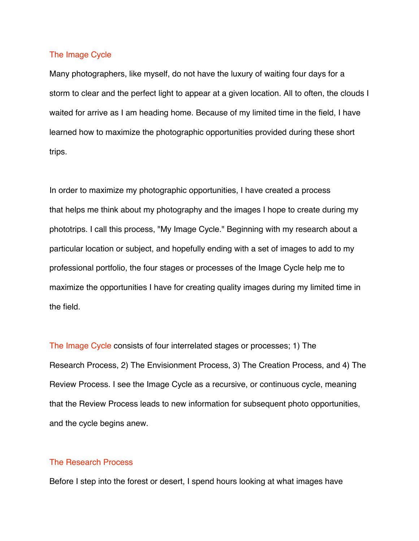### The Image Cycle

Many photographers, like myself, do not have the luxury of waiting four days for a storm to clear and the perfect light to appear at a given location. All to often, the clouds I waited for arrive as I am heading home. Because of my limited time in the field, I have learned how to maximize the photographic opportunities provided during these short trips.

In order to maximize my photographic opportunities, I have created a process that helps me think about my photography and the images I hope to create during my phototrips. I call this process, "My Image Cycle." Beginning with my research about a particular location or subject, and hopefully ending with a set of images to add to my professional portfolio, the four stages or processes of the Image Cycle help me to maximize the opportunities I have for creating quality images during my limited time in the field.

The Image Cycle consists of four interrelated stages or processes; 1) The Research Process, 2) The Envisionment Process, 3) The Creation Process, and 4) The Review Process. I see the Image Cycle as a recursive, or continuous cycle, meaning that the Review Process leads to new information for subsequent photo opportunities, and the cycle begins anew.

### The Research Process

Before I step into the forest or desert, I spend hours looking at what images have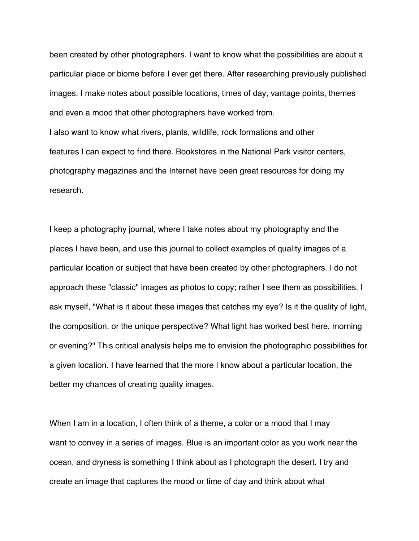been created by other photographers. I want to know what the possibilities are about a particular place or biome before I ever get there. After researching previously published images, I make notes about possible locations, times of day, vantage points, themes and even a mood that other photographers have worked from. I also want to know what rivers, plants, wildlife, rock formations and other features I can expect to find there. Bookstores in the National Park visitor centers, photography magazines and the Internet have been great resources for doing my research.

I keep a photography journal, where I take notes about my photography and the places I have been, and use this journal to collect examples of quality images of a particular location or subject that have been created by other photographers. I do not approach these "classic" images as photos to copy; rather I see them as possibilities. I ask myself, "What is it about these images that catches my eye? Is it the quality of light, the composition, or the unique perspective? What light has worked best here, morning or evening?" This critical analysis helps me to envision the photographic possibilities for a given location. I have learned that the more I know about a particular location, the better my chances of creating quality images.

When I am in a location, I often think of a theme, a color or a mood that I may want to convey in a series of images. Blue is an important color as you work near the ocean, and dryness is something I think about as I photograph the desert. I try and create an image that captures the mood or time of day and think about what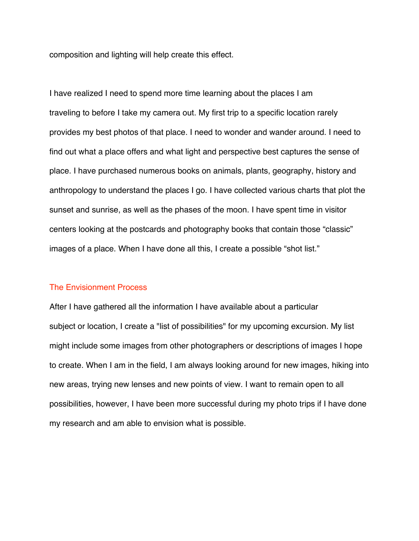composition and lighting will help create this effect.

I have realized I need to spend more time learning about the places I am traveling to before I take my camera out. My first trip to a specific location rarely provides my best photos of that place. I need to wonder and wander around. I need to find out what a place offers and what light and perspective best captures the sense of place. I have purchased numerous books on animals, plants, geography, history and anthropology to understand the places I go. I have collected various charts that plot the sunset and sunrise, as well as the phases of the moon. I have spent time in visitor centers looking at the postcards and photography books that contain those "classic" images of a place. When I have done all this, I create a possible "shot list."

#### The Envisionment Process

After I have gathered all the information I have available about a particular subject or location, I create a "list of possibilities" for my upcoming excursion. My list might include some images from other photographers or descriptions of images I hope to create. When I am in the field, I am always looking around for new images, hiking into new areas, trying new lenses and new points of view. I want to remain open to all possibilities, however, I have been more successful during my photo trips if I have done my research and am able to envision what is possible.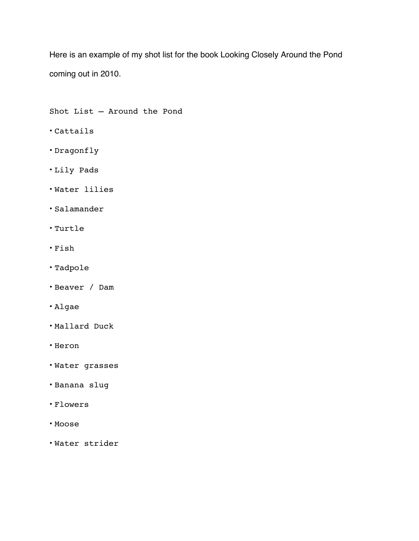Here is an example of my shot list for the book Looking Closely Around the Pond coming out in 2010.

Shot List – Around the Pond

- Cattails
- Dragonfly
- Lily Pads
- Water lilies
- Salamander
- Turtle
- Fish
- Tadpole
- Beaver / Dam
- Algae
- Mallard Duck
- Heron
- Water grasses
- Banana slug
- Flowers
- Moose
- Water strider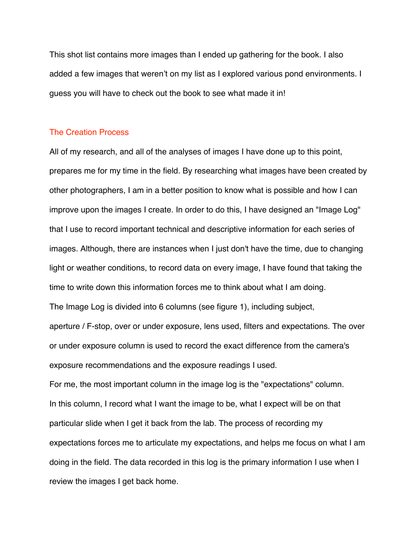This shot list contains more images than I ended up gathering for the book. I also added a few images that weren't on my list as I explored various pond environments. I guess you will have to check out the book to see what made it in!

# The Creation Process

All of my research, and all of the analyses of images I have done up to this point, prepares me for my time in the field. By researching what images have been created by other photographers, I am in a better position to know what is possible and how I can improve upon the images I create. In order to do this, I have designed an "Image Log" that I use to record important technical and descriptive information for each series of images. Although, there are instances when I just don't have the time, due to changing light or weather conditions, to record data on every image, I have found that taking the time to write down this information forces me to think about what I am doing. The Image Log is divided into 6 columns (see figure 1), including subject, aperture / F-stop, over or under exposure, lens used, filters and expectations. The over or under exposure column is used to record the exact difference from the camera's exposure recommendations and the exposure readings I used.

For me, the most important column in the image log is the "expectations" column. In this column, I record what I want the image to be, what I expect will be on that particular slide when I get it back from the lab. The process of recording my expectations forces me to articulate my expectations, and helps me focus on what I am doing in the field. The data recorded in this log is the primary information I use when I review the images I get back home.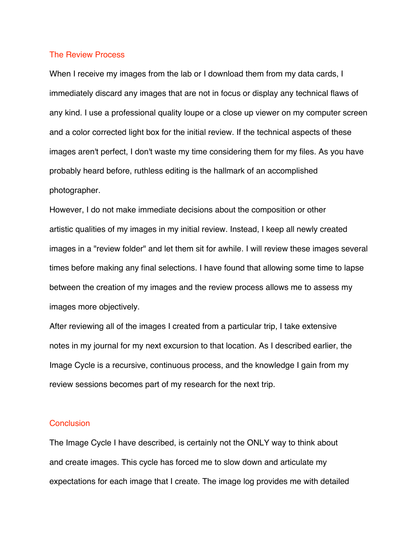#### The Review Process

When I receive my images from the lab or I download them from my data cards, I immediately discard any images that are not in focus or display any technical flaws of any kind. I use a professional quality loupe or a close up viewer on my computer screen and a color corrected light box for the initial review. If the technical aspects of these images aren't perfect, I don't waste my time considering them for my files. As you have probably heard before, ruthless editing is the hallmark of an accomplished photographer.

However, I do not make immediate decisions about the composition or other artistic qualities of my images in my initial review. Instead, I keep all newly created images in a "review folder" and let them sit for awhile. I will review these images several times before making any final selections. I have found that allowing some time to lapse between the creation of my images and the review process allows me to assess my images more objectively.

After reviewing all of the images I created from a particular trip, I take extensive notes in my journal for my next excursion to that location. As I described earlier, the Image Cycle is a recursive, continuous process, and the knowledge I gain from my review sessions becomes part of my research for the next trip.

# **Conclusion**

The Image Cycle I have described, is certainly not the ONLY way to think about and create images. This cycle has forced me to slow down and articulate my expectations for each image that I create. The image log provides me with detailed